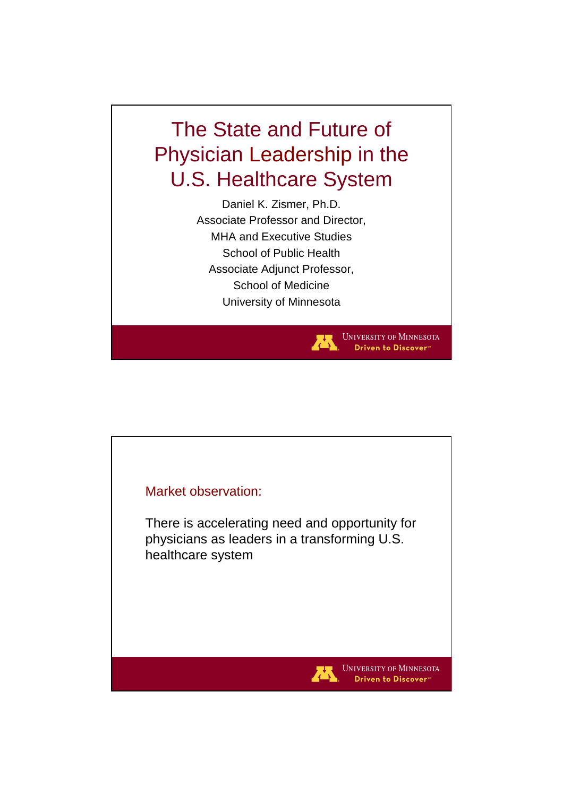## The State and Future of Physician Leadership in the U.S. Healthcare System

Daniel K. Zismer, Ph.D. Associate Professor and Director, MHA and Executive Studies School of Public Health Associate Adjunct Professor, School of Medicine University of Minnesota

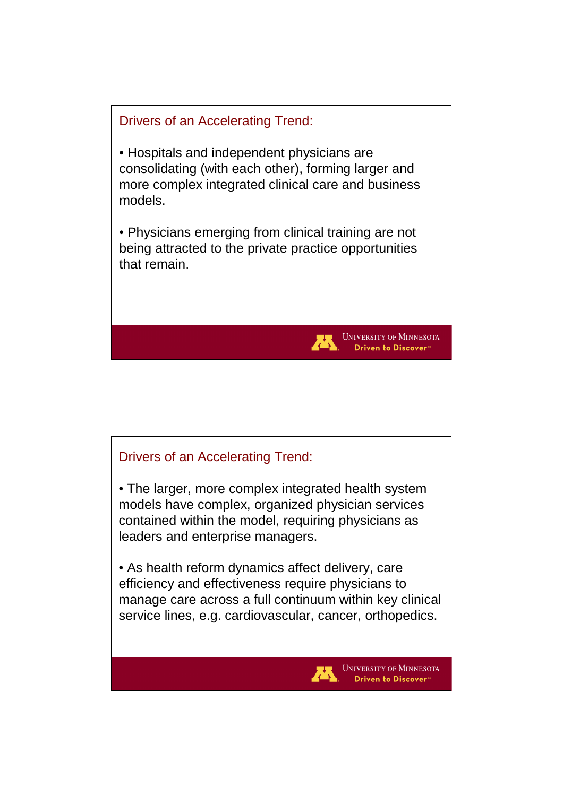

## Drivers of an Accelerating Trend:

• The larger, more complex integrated health system models have complex, organized physician services contained within the model, requiring physicians as leaders and enterprise managers.

• As health reform dynamics affect delivery, care efficiency and effectiveness require physicians to manage care across a full continuum within key clinical service lines, e.g. cardiovascular, cancer, orthopedics.

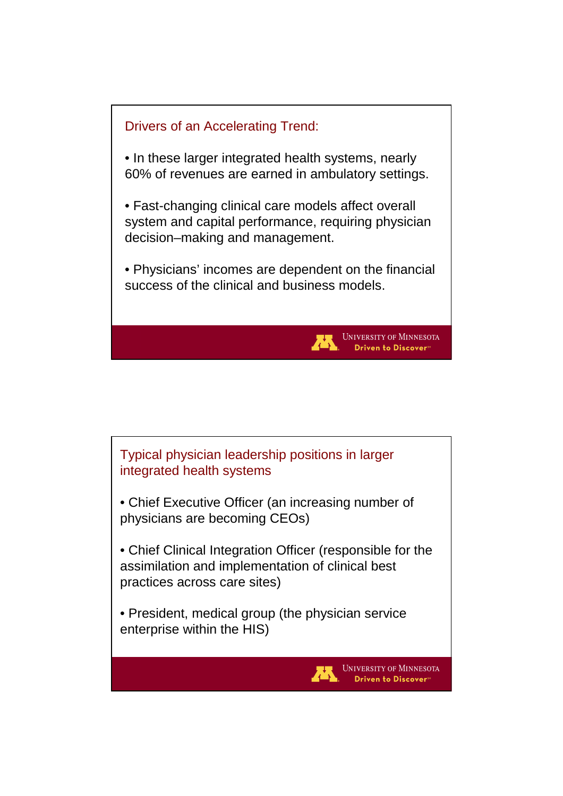

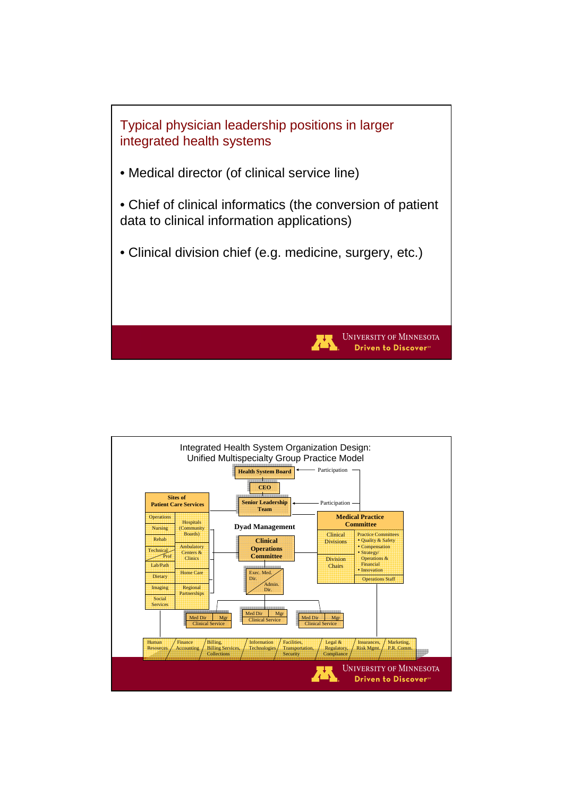

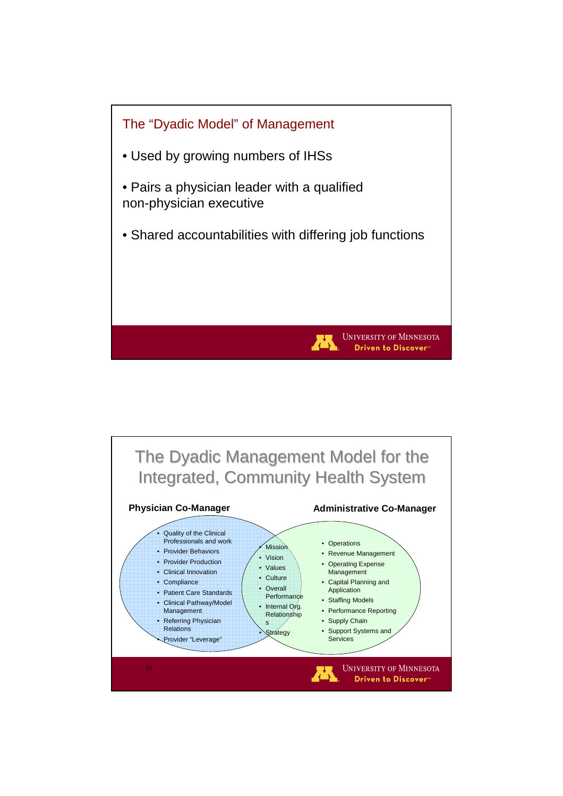

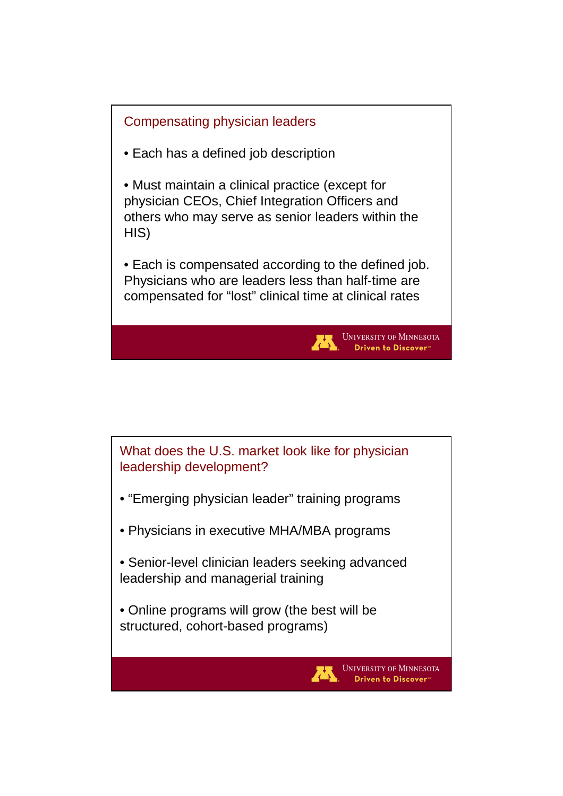

What does the U.S. market look like for physician leadership development?

- "Emerging physician leader" training programs
- Physicians in executive MHA/MBA programs
- Senior-level clinician leaders seeking advanced leadership and managerial training

**UNIVERSITY OF MINNESOTA** Driven to Discover<sup>®</sup>

• Online programs will grow (the best will be structured, cohort-based programs)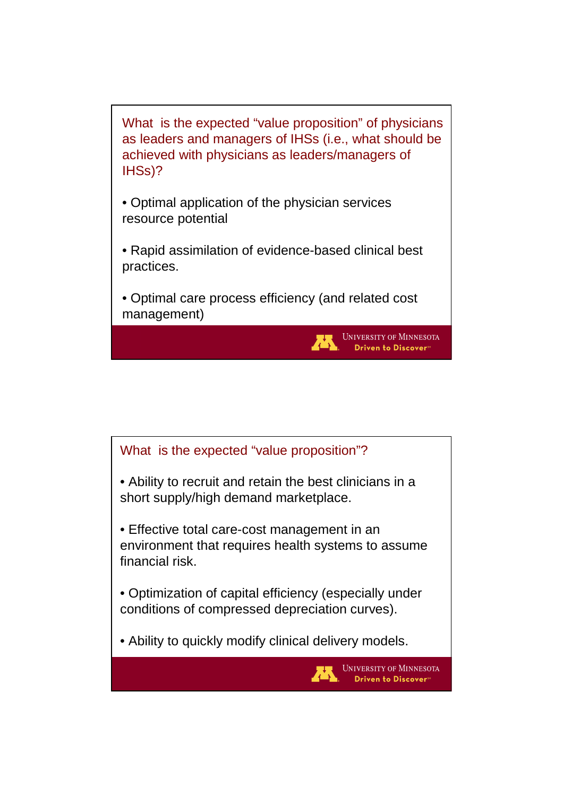What is the expected "value proposition" of physicians as leaders and managers of IHSs (i.e., what should be achieved with physicians as leaders/managers of IHSs)?

• Optimal application of the physician services resource potential

• Rapid assimilation of evidence-based clinical best practices.

• Optimal care process efficiency (and related cost management)